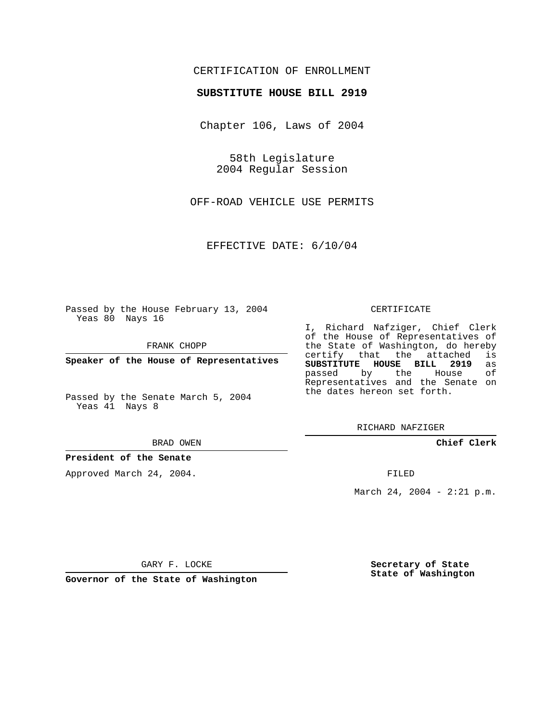## CERTIFICATION OF ENROLLMENT

### **SUBSTITUTE HOUSE BILL 2919**

Chapter 106, Laws of 2004

58th Legislature 2004 Regular Session

OFF-ROAD VEHICLE USE PERMITS

EFFECTIVE DATE: 6/10/04

Passed by the House February 13, 2004 Yeas 80 Nays 16

FRANK CHOPP

**Speaker of the House of Representatives**

Passed by the Senate March 5, 2004 Yeas 41 Nays 8

#### BRAD OWEN

### **President of the Senate**

Approved March 24, 2004.

#### CERTIFICATE

I, Richard Nafziger, Chief Clerk of the House of Representatives of the State of Washington, do hereby<br>certify that the attached is certify that the attached **SUBSTITUTE HOUSE BILL 2919** as passed by the Representatives and the Senate on the dates hereon set forth.

RICHARD NAFZIGER

**Chief Clerk**

FILED

March 24, 2004 - 2:21 p.m.

GARY F. LOCKE

**Governor of the State of Washington**

**Secretary of State State of Washington**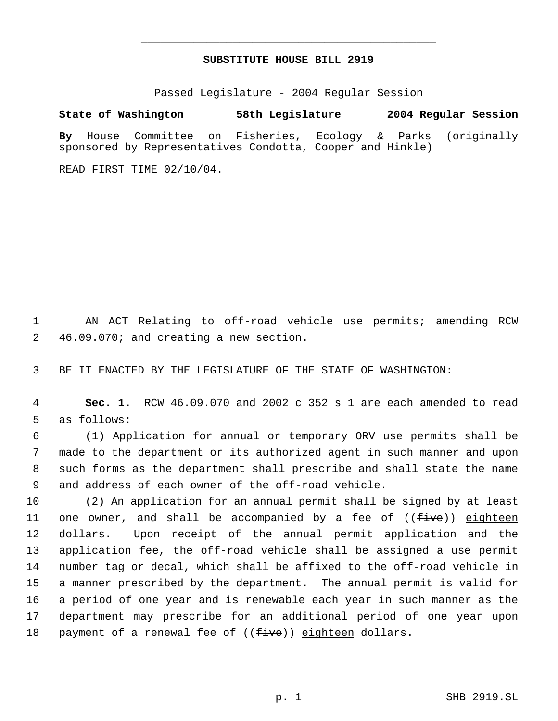# **SUBSTITUTE HOUSE BILL 2919** \_\_\_\_\_\_\_\_\_\_\_\_\_\_\_\_\_\_\_\_\_\_\_\_\_\_\_\_\_\_\_\_\_\_\_\_\_\_\_\_\_\_\_\_\_

\_\_\_\_\_\_\_\_\_\_\_\_\_\_\_\_\_\_\_\_\_\_\_\_\_\_\_\_\_\_\_\_\_\_\_\_\_\_\_\_\_\_\_\_\_

Passed Legislature - 2004 Regular Session

# **State of Washington 58th Legislature 2004 Regular Session**

**By** House Committee on Fisheries, Ecology & Parks (originally sponsored by Representatives Condotta, Cooper and Hinkle)

READ FIRST TIME 02/10/04.

 1 AN ACT Relating to off-road vehicle use permits; amending RCW 2 46.09.070; and creating a new section.

3 BE IT ENACTED BY THE LEGISLATURE OF THE STATE OF WASHINGTON:

 4 **Sec. 1.** RCW 46.09.070 and 2002 c 352 s 1 are each amended to read 5 as follows:

 (1) Application for annual or temporary ORV use permits shall be made to the department or its authorized agent in such manner and upon such forms as the department shall prescribe and shall state the name and address of each owner of the off-road vehicle.

 (2) An application for an annual permit shall be signed by at least 11 one owner, and shall be accompanied by a fee of  $((f\text{-}i\text{-}ve))$  eighteen dollars. Upon receipt of the annual permit application and the application fee, the off-road vehicle shall be assigned a use permit number tag or decal, which shall be affixed to the off-road vehicle in a manner prescribed by the department. The annual permit is valid for a period of one year and is renewable each year in such manner as the department may prescribe for an additional period of one year upon 18 payment of a renewal fee of ((five)) eighteen dollars.